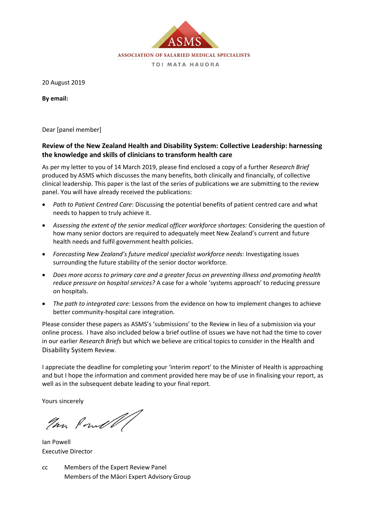

20 August 2019

**By email:**

Dear [panel member]

### **Review of the New Zealand Health and Disability System: Collective Leadership: harnessing the knowledge and skills of clinicians to transform health care**

As per my letter to you of 14 March 2019, please find enclosed a copy of a further *Research Brief* produced by ASMS which discusses the many benefits, both clinically and financially, of collective clinical leadership. This paper is the last of the series of publications we are submitting to the review panel. You will have already received the publications:

- *Path to Patient Centred Care*: Discussing the potential benefits of patient centred care and what needs to happen to truly achieve it.
- *Assessing the extent of the senior medical officer workforce shortages:* Considering the question of how many senior doctors are required to adequately meet New Zealand's current and future health needs and fulfil government health policies.
- *Forecasting New Zealand's future medical specialist workforce needs*: Investigating issues surrounding the future stability of the senior doctor workforce.
- *Does more access to primary care and a greater focus on preventing illness and promoting health reduce pressure on hospital services?* A case for a whole 'systems approach' to reducing pressure on hospitals.
- *The path to integrated care:* Lessons from the evidence on how to implement changes to achieve better community-hospital care integration.

Please consider these papers as ASMS's 'submissions' to the Review in lieu of a submission via your online process. I have also included below a brief outline of issues we have not had the time to cover in our earlier *Research Briefs* but which we believe are critical topics to consider in the Health and Disability System Review.

I appreciate the deadline for completing your 'interim report' to the Minister of Health is approaching and but I hope the information and comment provided here may be of use in finalising your report, as well as in the subsequent debate leading to your final report.

Yours sincerely

Your Powell

Ian Powell Executive Director

cc Members of the Expert Review Panel Members of the Māori Expert Advisory Group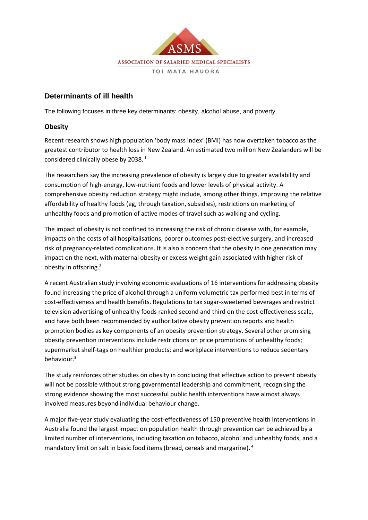

### **Determinants of ill health**

The following focuses in three key determinants: obesity, alcohol abuse, and poverty.

#### **Obesity**

Recent research shows high population 'body mass index' (BMI) has now overtaken tobacco as the greatest contributor to health loss in New Zealand. An estimated two million New Zealanders will be considered clinically obese by 2038. <sup>1</sup>

The researchers say the increasing prevalence of obesity is largely due to greater availability and consumption of high-energy, low-nutrient foods and lower levels of physical activity. A comprehensive obesity reduction strategy might include, among other things, improving the relative affordability of healthy foods (eg, through taxation, subsidies), restrictions on marketing of unhealthy foods and promotion of active modes of travel such as walking and cycling.

The impact of obesity is not confined to increasing the risk of chronic disease with, for example, impacts on the costs of all hospitalisations, poorer outcomes post-elective surgery, and increased risk of pregnancy-related complications. It is also a concern that the obesity in one generation may impact on the next, with maternal obesity or excess weight gain associated with higher risk of obesity in offspring.<sup>2</sup>

A recent Australian study involving economic evaluations of 16 interventions for addressing obesity found increasing the price of alcohol through a uniform volumetric tax performed best in terms of cost-effectiveness and health benefits. Regulations to tax sugar-sweetened beverages and restrict television advertising of unhealthy foods ranked second and third on the cost-effectiveness scale, and have both been recommended by authoritative obesity prevention reports and health promotion bodies as key components of an obesity prevention strategy. Several other promising obesity prevention interventions include restrictions on price promotions of unhealthy foods; supermarket shelf-tags on healthier products; and workplace interventions to reduce sedentary behaviour.<sup>3</sup>

The study reinforces other studies on obesity in concluding that effective action to prevent obesity will not be possible without strong governmental leadership and commitment, recognising the strong evidence showing the most successful public health interventions have almost always involved measures beyond individual behaviour change.

A major five-year study evaluating the cost-effectiveness of 150 preventive health interventions in Australia found the largest impact on population health through prevention can be achieved by a limited number of interventions, including taxation on tobacco, alcohol and unhealthy foods, and a mandatory limit on salt in basic food items (bread, cereals and margarine). <sup>4</sup>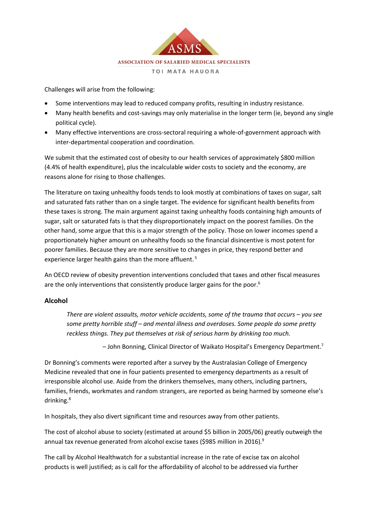

Challenges will arise from the following:

- Some interventions may lead to reduced company profits, resulting in industry resistance.
- Many health benefits and cost-savings may only materialise in the longer term (ie, beyond any single political cycle).
- Many effective interventions are cross-sectoral requiring a whole-of-government approach with inter-departmental cooperation and coordination.

We submit that the estimated cost of obesity to our health services of approximately \$800 million (4.4% of health expenditure), plus the incalculable wider costs to society and the economy, are reasons alone for rising to those challenges.

The literature on taxing unhealthy foods tends to look mostly at combinations of taxes on sugar, salt and saturated fats rather than on a single target. The evidence for significant health benefits from these taxes is strong. The main argument against taxing unhealthy foods containing high amounts of sugar, salt or saturated fats is that they disproportionately impact on the poorest families. On the other hand, some argue that this is a major strength of the policy. Those on lower incomes spend a proportionately higher amount on unhealthy foods so the financial disincentive is most potent for poorer families. Because they are more sensitive to changes in price, they respond better and experience larger health gains than the more affluent.<sup>5</sup>

An OECD review of obesity prevention interventions concluded that taxes and other fiscal measures are the only interventions that consistently produce larger gains for the poor.<sup>6</sup>

#### **Alcohol**

*There are violent assaults, motor vehicle accidents, some of the trauma that occurs – you see some pretty horrible stuff – and mental illness and overdoses. Some people do some pretty reckless things. They put themselves at risk of serious harm by drinking too much.*

– John Bonning, Clinical Director of Waikato Hospital's Emergency Department.<sup>7</sup>

Dr Bonning's comments were reported after a survey by the Australasian College of Emergency Medicine revealed that one in four patients presented to emergency departments as a result of irresponsible alcohol use. Aside from the drinkers themselves, many others, including partners, families, friends, workmates and random strangers, are reported as being harmed by someone else's drinking.<sup>8</sup>

In hospitals, they also divert significant time and resources away from other patients.

The cost of alcohol abuse to society (estimated at around \$5 billion in 2005/06) greatly outweigh the annual tax revenue generated from alcohol excise taxes (\$985 million in 2016).<sup>9</sup>

The call by Alcohol Healthwatch for a substantial increase in the rate of excise tax on alcohol products is well justified; as is call for the affordability of alcohol to be addressed via further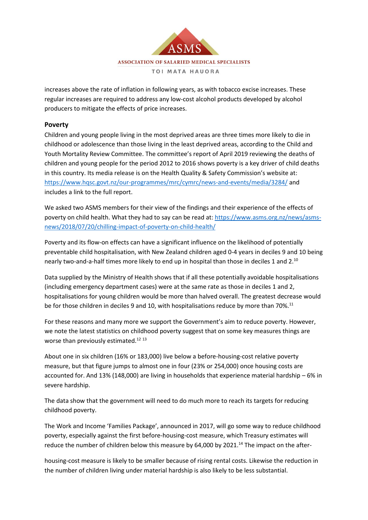

increases above the rate of inflation in following years, as with tobacco excise increases. These regular increases are required to address any low-cost alcohol products developed by alcohol producers to mitigate the effects of price increases.

#### **Poverty**

Children and young people living in the most deprived areas are three times more likely to die in childhood or adolescence than those living in the least deprived areas, according to the Child and Youth Mortality Review Committee. The committee's report of April 2019 reviewing the deaths of children and young people for the period 2012 to 2016 shows poverty is a key driver of child deaths in this country. Its media release is on the Health Quality & Safety Commission's website at: <https://www.hqsc.govt.nz/our-programmes/mrc/cymrc/news-and-events/media/3284/> and includes a link to the full report.

We asked two ASMS members for their view of the findings and their experience of the effects of poverty on child health. What they had to say can be read at[: https://www.asms.org.nz/news/asms](https://www.asms.org.nz/news/asms-news/2018/07/20/chilling-impact-of-poverty-on-child-health/)[news/2018/07/20/chilling-impact-of-poverty-on-child-health/](https://www.asms.org.nz/news/asms-news/2018/07/20/chilling-impact-of-poverty-on-child-health/)

Poverty and its flow-on effects can have a significant influence on the likelihood of potentially preventable child hospitalisation, with New Zealand children aged 0-4 years in deciles 9 and 10 being nearly two-and-a-half times more likely to end up in hospital than those in deciles 1 and 2.<sup>10</sup>

Data supplied by the Ministry of Health shows that if all these potentially avoidable hospitalisations (including emergency department cases) were at the same rate as those in deciles 1 and 2, hospitalisations for young children would be more than halved overall. The greatest decrease would be for those children in deciles 9 and 10, with hospitalisations reduce by more than 70%.<sup>11</sup>

For these reasons and many more we support the Government's aim to reduce poverty. However, we note the latest statistics on childhood poverty suggest that on some key measures things are worse than previously estimated.<sup>12 13</sup>

About one in six children (16% or 183,000) live below a before-housing-cost relative poverty measure, but that figure jumps to almost one in four (23% or 254,000) once housing costs are accounted for. And 13% (148,000) are living in households that experience material hardship – 6% in severe hardship.

The data show that the government will need to do much more to reach its targets for reducing childhood poverty.

The Work and Income 'Families Package', announced in 2017, will go some way to reduce childhood poverty, especially against the first before-housing-cost measure, which Treasury estimates will reduce the number of children below this measure by 64,000 by 2021.<sup>14</sup> The impact on the after-

housing-cost measure is likely to be smaller because of rising rental costs. Likewise the reduction in the number of children living under material hardship is also likely to be less substantial.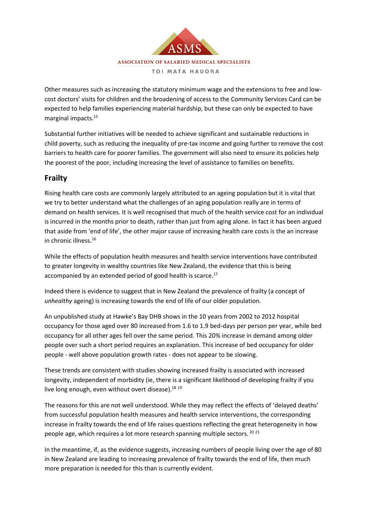

Other measures such as increasing the statutory minimum wage and the extensions to free and lowcost doctors' visits for children and the broadening of access to the Community Services Card can be expected to help families experiencing material hardship, but these can only be expected to have marginal impacts.<sup>15</sup>

Substantial further initiatives will be needed to achieve significant and sustainable reductions in child poverty, such as reducing the inequality of pre-tax income and going further to remove the cost barriers to health care for poorer families. The government will also need to ensure its policies help the poorest of the poor, including increasing the level of assistance to families on benefits.

## **Frailty**

Rising health care costs are commonly largely attributed to an ageing population but it is vital that we try to better understand what the challenges of an aging population really are in terms of demand on health services. It is well recognised that much of the health service cost for an individual is incurred in the months prior to death, rather than just from aging alone. In fact it has been argued that aside from 'end of life', the other major cause of increasing health care costs is the an increase in chronic illness.<sup>16</sup>

While the effects of population health measures and health service interventions have contributed to greater longevity in wealthy countries like New Zealand, the evidence that this is being accompanied by an extended period of good health is scarce. $17$ 

Indeed there is evidence to suggest that in New Zealand the prevalence of frailty (a concept of *unhealthy* ageing) is increasing towards the end of life of our older population.

An unpublished study at Hawke's Bay DHB shows in the 10 years from 2002 to 2012 hospital occupancy for those aged over 80 increased from 1.6 to 1.9 bed-days per person per year, while bed occupancy for all other ages fell over the same period. This 20% increase in demand among older people over such a short period requires an explanation. This increase of bed occupancy for older people - well above population growth rates - does not appear to be slowing.

These trends are consistent with studies showing increased frailty is associated with increased longevity, independent of morbidity (ie, there is a significant likelihood of developing frailty if you live long enough, even without overt disease). $^{18}$   $^{19}$ 

The reasons for this are not well understood. While they may reflect the effects of 'delayed deaths' from successful population health measures and health service interventions, the corresponding increase in frailty towards the end of life raises questions reflecting the great heterogeneity in how people age, which requires a lot more research spanning multiple sectors.<sup>20 21</sup>

In the meantime, if, as the evidence suggests, increasing numbers of people living over the age of 80 in New Zealand are leading to increasing prevalence of frailty towards the end of life, then much more preparation is needed for this than is currently evident.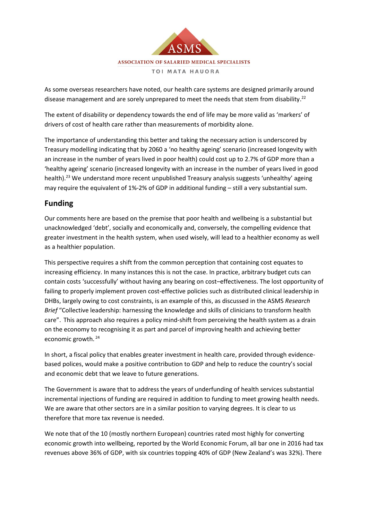

As some overseas researchers have noted, our health care systems are designed primarily around disease management and are sorely unprepared to meet the needs that stem from disability.<sup>22</sup>

The extent of disability or dependency towards the end of life may be more valid as 'markers' of drivers of cost of health care rather than measurements of morbidity alone.

The importance of understanding this better and taking the necessary action is underscored by Treasury modelling indicating that by 2060 a 'no healthy ageing' scenario (increased longevity with an increase in the number of years lived in poor health) could cost up to 2.7% of GDP more than a 'healthy ageing' scenario (increased longevity with an increase in the number of years lived in good health).<sup>23</sup> We understand more recent unpublished Treasury analysis suggests 'unhealthy' ageing may require the equivalent of 1%-2% of GDP in additional funding – still a very substantial sum.

# **Funding**

Our comments here are based on the premise that poor health and wellbeing is a substantial but unacknowledged 'debt', socially and economically and, conversely, the compelling evidence that greater investment in the health system, when used wisely, will lead to a healthier economy as well as a healthier population.

This perspective requires a shift from the common perception that containing cost equates to increasing efficiency. In many instances this is not the case. In practice, arbitrary budget cuts can contain costs 'successfully' without having any bearing on cost–effectiveness. The lost opportunity of failing to properly implement proven cost-effective policies such as distributed clinical leadership in DHBs, largely owing to cost constraints, is an example of this, as discussed in the ASMS *Research Brief* "Collective leadership: harnessing the knowledge and skills of clinicians to transform health care". This approach also requires a policy mind-shift from perceiving the health system as a drain on the economy to recognising it as part and parcel of improving health and achieving better economic growth.<sup>24</sup>

In short, a fiscal policy that enables greater investment in health care, provided through evidencebased polices, would make a positive contribution to GDP and help to reduce the country's social and economic debt that we leave to future generations.

The Government is aware that to address the years of underfunding of health services substantial incremental injections of funding are required in addition to funding to meet growing health needs. We are aware that other sectors are in a similar position to varying degrees. It is clear to us therefore that more tax revenue is needed.

We note that of the 10 (mostly northern European) countries rated most highly for converting economic growth into wellbeing, reported by the World Economic Forum, all bar one in 2016 had tax revenues above 36% of GDP, with six countries topping 40% of GDP (New Zealand's was 32%). There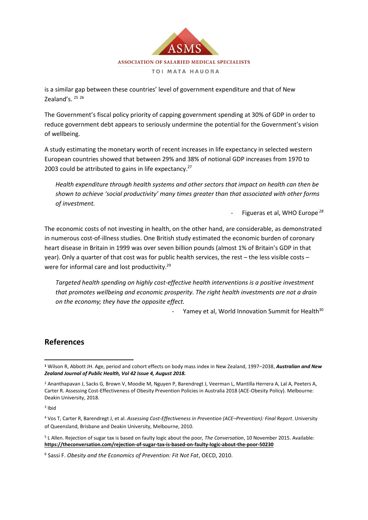

is a similar gap between these countries' level of government expenditure and that of New Zealand's. 25 26

The Government's fiscal policy priority of capping government spending at 30% of GDP in order to reduce government debt appears to seriously undermine the potential for the Government's vision of wellbeing.

A study estimating the monetary worth of recent increases in life expectancy in selected western European countries showed that between 29% and 38% of notional GDP increases from 1970 to 2003 could be attributed to gains in life expectancy.<sup>27</sup>

*Health expenditure through health systems and other sectors that impact on health can then be shown to achieve 'social productivity' many times greater than that associated with other forms of investment.*

- Figueras et al, WHO Europe *<sup>28</sup>*

The economic costs of not investing in health, on the other hand, are considerable, as demonstrated in numerous cost-of-illness studies. One British study estimated the economic burden of coronary heart disease in Britain in 1999 was over seven billion pounds (almost 1% of Britain's GDP in that year). Only a quarter of that cost was for public health services, the rest – the less visible costs – were for informal care and lost productivity.<sup>29</sup>

*Targeted health spending on highly cost-effective health interventions is a positive investment that promotes wellbeing and economic prosperity. The right health investments are not a drain on the economy; they have the opposite effect.*

Yamey et al, World Innovation Summit for Health<sup>30</sup>

### **References**

3 Ibid

<sup>4</sup> Vos T, Carter R, Barendregt J, et al. *Assessing Cost-Effectiveness in Prevention (ACE–Prevention): Final Report*. University of Queensland, Brisbane and Deakin University, Melbourne, 2010.

<sup>5</sup> L Allen. Rejection of sugar tax is based on faulty logic about the poor*, The Conversation*, 10 November 2015. Available: **<https://theconversation.com/rejection-of-sugar-tax-is-based-on-faulty-logic-about-the-poor-50230>**

**<sup>1</sup>** Wilson R, Abbott JH. Age, period and cohort effects on body mass index in New Zealand, 1997–2038, *Australian and New Zealand Journal of Public Health, Vol 42 Issue 4, August 2018.*

<sup>2</sup> Ananthapavan J, Sacks G, Brown V, Moodie M, Nguyen P, Barendregt J, Veerman L, Mantilla Herrera A, Lal A, Peeters A, Carter R. Assessing Cost-Effectiveness of Obesity Prevention Policies in Australia 2018 (ACE-Obesity Policy). Melbourne: Deakin University, 2018.

<sup>6</sup> Sassi F. *Obesity and the Economics of Prevention: Fit Not Fat*, OECD, 2010.